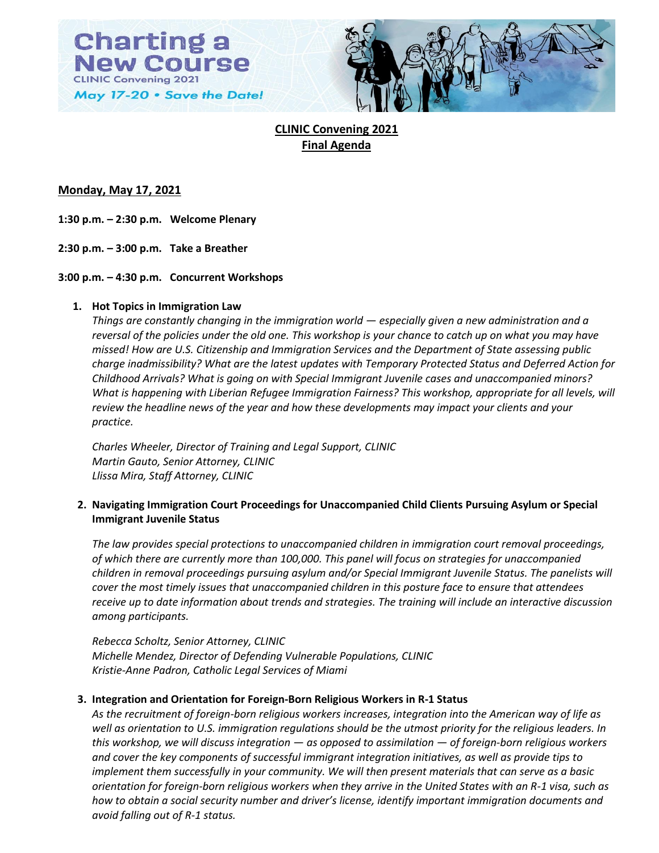



# **CLINIC Convening 2021 Final Agenda**

## **Monday, May 17, 2021**

**1:30 p.m. – 2:30 p.m. Welcome Plenary**

**2:30 p.m. – 3:00 p.m. Take a Breather**

## **3:00 p.m. – 4:30 p.m. Concurrent Workshops**

## **1. Hot Topics in Immigration Law**

*Things are constantly changing in the immigration world — especially given a new administration and a reversal of the policies under the old one. This workshop is your chance to catch up on what you may have missed! How are U.S. Citizenship and Immigration Services and the Department of State assessing public charge inadmissibility? What are the latest updates with Temporary Protected Status and Deferred Action for Childhood Arrivals? What is going on with Special Immigrant Juvenile cases and unaccompanied minors? What is happening with Liberian Refugee Immigration Fairness? This workshop, appropriate for all levels, will review the headline news of the year and how these developments may impact your clients and your practice.*

*Charles Wheeler, Director of Training and Legal Support, CLINIC Martin Gauto, Senior Attorney, CLINIC Llissa Mira, Staff Attorney, CLINIC*

## **2. Navigating Immigration Court Proceedings for Unaccompanied Child Clients Pursuing Asylum or Special Immigrant Juvenile Status**

*The law provides special protections to unaccompanied children in immigration court removal proceedings, of which there are currently more than 100,000. This panel will focus on strategies for unaccompanied children in removal proceedings pursuing asylum and/or Special Immigrant Juvenile Status. The panelists will cover the most timely issues that unaccompanied children in this posture face to ensure that attendees receive up to date information about trends and strategies. The training will include an interactive discussion among participants.*

*Rebecca Scholtz, Senior Attorney, CLINIC Michelle Mendez, Director of Defending Vulnerable Populations, CLINIC Kristie-Anne Padron, Catholic Legal Services of Miami*

## **3. Integration and Orientation for Foreign-Born Religious Workers in R-1 Status**

*As the recruitment of foreign-born religious workers increases, integration into the American way of life as well as orientation to U.S. immigration regulations should be the utmost priority for the religious leaders. In this workshop, we will discuss integration — as opposed to assimilation — of foreign-born religious workers and cover the key components of successful immigrant integration initiatives, as well as provide tips to implement them successfully in your community. We will then present materials that can serve as a basic orientation for foreign-born religious workers when they arrive in the United States with an R-1 visa, such as how to obtain a social security number and driver's license, identify important immigration documents and avoid falling out of R-1 status.*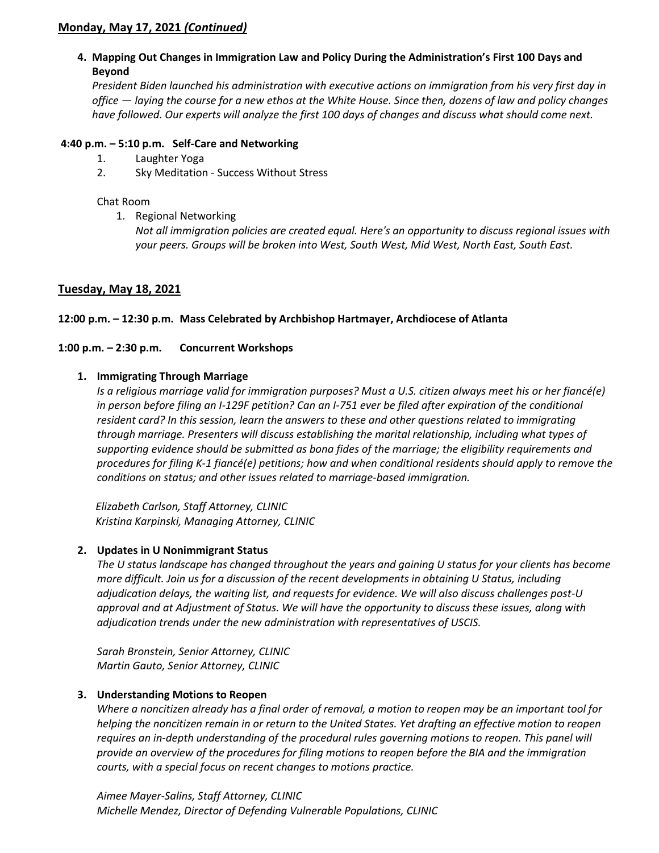## **Monday, May 17, 2021** *(Continued)*

**4. Mapping Out Changes in Immigration Law and Policy During the Administration's First 100 Days and Beyond**

*President Biden launched his administration with executive actions on immigration from his very first day in office — laying the course for a new ethos at the White House. Since then, dozens of law and policy changes have followed. Our experts will analyze the first 100 days of changes and discuss what should come next.*

## **4:40 p.m. – 5:10 p.m. Self-Care and Networking**

- 1. Laughter Yoga
- 2. Sky Meditation Success Without Stress

## Chat Room

1. Regional Networking

*Not all immigration policies are created equal. Here's an opportunity to discuss regional issues with your peers. Groups will be broken into West, South West, Mid West, North East, South East.*

## **Tuesday, May 18, 2021**

## **12:00 p.m. – 12:30 p.m. Mass Celebrated by Archbishop Hartmayer, Archdiocese of Atlanta**

## **1:00 p.m. – 2:30 p.m. Concurrent Workshops**

## **1. Immigrating Through Marriage**

*Is a religious marriage valid for immigration purposes? Must a U.S. citizen always meet his or her fiancé(e) in person before filing an I-129F petition? Can an I-751 ever be filed after expiration of the conditional resident card? In this session, learn the answers to these and other questions related to immigrating through marriage. Presenters will discuss establishing the marital relationship, including what types of supporting evidence should be submitted as bona fides of the marriage; the eligibility requirements and procedures for filing K-1 fiancé(e) petitions; how and when conditional residents should apply to remove the conditions on status; and other issues related to marriage-based immigration.*

 *Elizabeth Carlson, Staff Attorney, CLINIC Kristina Karpinski, Managing Attorney, CLINIC*

## **2. Updates in U Nonimmigrant Status**

*The U status landscape has changed throughout the years and gaining U status for your clients has become more difficult. Join us for a discussion of the recent developments in obtaining U Status, including adjudication delays, the waiting list, and requests for evidence. We will also discuss challenges post-U approval and at Adjustment of Status. We will have the opportunity to discuss these issues, along with adjudication trends under the new administration with representatives of USCIS.*

*Sarah Bronstein, Senior Attorney, CLINIC Martin Gauto, Senior Attorney, CLINIC*

## **3. Understanding Motions to Reopen**

*Where a noncitizen already has a final order of removal, a motion to reopen may be an important tool for helping the noncitizen remain in or return to the United States. Yet drafting an effective motion to reopen requires an in-depth understanding of the procedural rules governing motions to reopen. This panel will provide an overview of the procedures for filing motions to reopen before the BIA and the immigration courts, with a special focus on recent changes to motions practice.*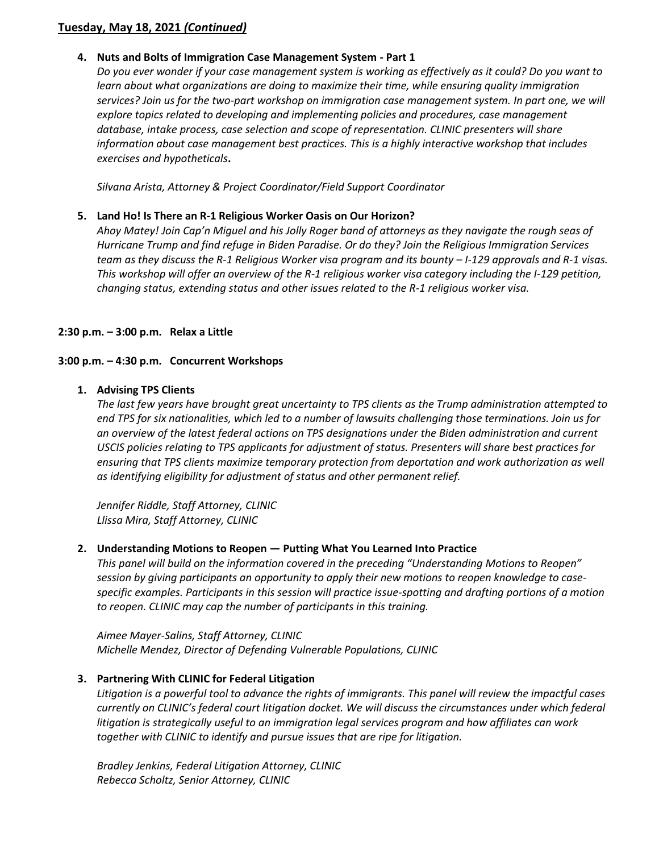## **Tuesday, May 18, 2021** *(Continued)*

## **4. Nuts and Bolts of Immigration Case Management System - Part 1**

*Do you ever wonder if your case management system is working as effectively as it could? Do you want to*  learn about what organizations are doing to maximize their time, while ensuring quality immigration *services? Join us for the two-part workshop on immigration case management system. In part one, we will explore topics related to developing and implementing policies and procedures, case management database, intake process, case selection and scope of representation. CLINIC presenters will share information about case management best practices. This is a highly interactive workshop that includes exercises and hypotheticals***.**

*Silvana Arista, Attorney & Project Coordinator/Field Support Coordinator*

## **5. Land Ho! Is There an R-1 Religious Worker Oasis on Our Horizon?**

*Ahoy Matey! Join Cap'n Miguel and his Jolly Roger band of attorneys as they navigate the rough seas of Hurricane Trump and find refuge in Biden Paradise. Or do they? Join the Religious Immigration Services team as they discuss the R-1 Religious Worker visa program and its bounty – I-129 approvals and R-1 visas. This workshop will offer an overview of the R-1 religious worker visa category including the I-129 petition, changing status, extending status and other issues related to the R-1 religious worker visa.*

## **2:30 p.m. – 3:00 p.m. Relax a Little**

## **3:00 p.m. – 4:30 p.m. Concurrent Workshops**

## **1. Advising TPS Clients**

*The last few years have brought great uncertainty to TPS clients as the Trump administration attempted to end TPS for six nationalities, which led to a number of lawsuits challenging those terminations. Join us for an overview of the latest federal actions on TPS designations under the Biden administration and current USCIS policies relating to TPS applicants for adjustment of status. Presenters will share best practices for ensuring that TPS clients maximize temporary protection from deportation and work authorization as well as identifying eligibility for adjustment of status and other permanent relief.*

*Jennifer Riddle, Staff Attorney, CLINIC Llissa Mira, Staff Attorney, CLINIC*

## **2. Understanding Motions to Reopen — Putting What You Learned Into Practice**

*This panel will build on the information covered in the preceding "Understanding Motions to Reopen" session by giving participants an opportunity to apply their new motions to reopen knowledge to casespecific examples. Participants in this session will practice issue-spotting and drafting portions of a motion to reopen. CLINIC may cap the number of participants in this training.*

*Aimee Mayer-Salins, Staff Attorney, CLINIC Michelle Mendez, Director of Defending Vulnerable Populations, CLINIC*

## **3. Partnering With CLINIC for Federal Litigation**

*Litigation is a powerful tool to advance the rights of immigrants. This panel will review the impactful cases currently on CLINIC's federal court litigation docket. We will discuss the circumstances under which federal litigation is strategically useful to an immigration legal services program and how affiliates can work together with CLINIC to identify and pursue issues that are ripe for litigation.*

*Bradley Jenkins, Federal Litigation Attorney, CLINIC Rebecca Scholtz, Senior Attorney, CLINIC*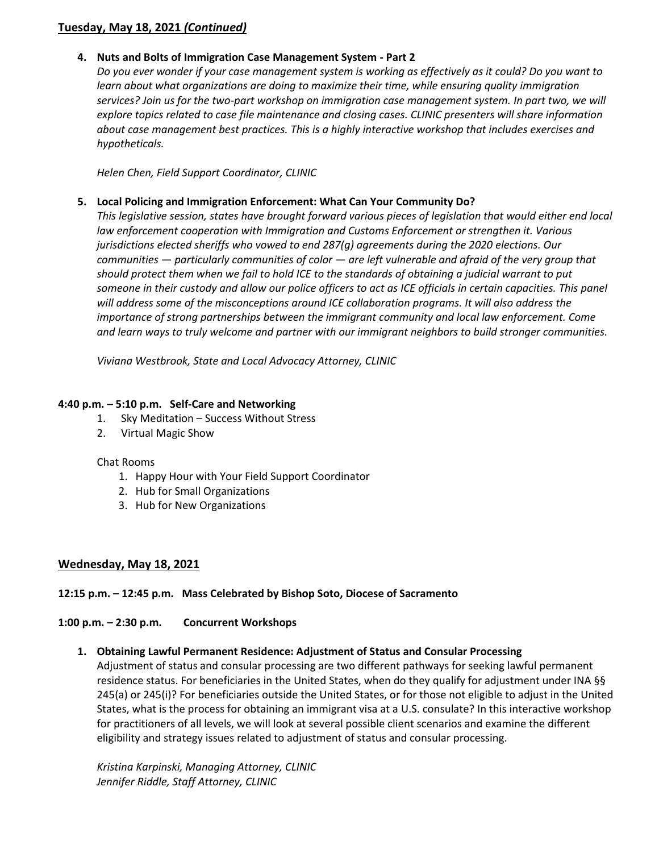## **Tuesday, May 18, 2021** *(Continued)*

## **4. Nuts and Bolts of Immigration Case Management System - Part 2**

*Do you ever wonder if your case management system is working as effectively as it could? Do you want to*  learn about what organizations are doing to maximize their time, while ensuring quality immigration *services? Join us for the two-part workshop on immigration case management system. In part two, we will explore topics related to case file maintenance and closing cases. CLINIC presenters will share information about case management best practices. This is a highly interactive workshop that includes exercises and hypotheticals.*

*Helen Chen, Field Support Coordinator, CLINIC*

## **5. Local Policing and Immigration Enforcement: What Can Your Community Do?**

*This legislative session, states have brought forward various pieces of legislation that would either end local law enforcement cooperation with Immigration and Customs Enforcement or strengthen it. Various jurisdictions elected sheriffs who vowed to end 287(g) agreements during the 2020 elections. Our communities — particularly communities of color — are left vulnerable and afraid of the very group that should protect them when we fail to hold ICE to the standards of obtaining a judicial warrant to put*  someone in their custody and allow our police officers to act as ICE officials in certain capacities. This panel *will address some of the misconceptions around ICE collaboration programs. It will also address the importance of strong partnerships between the immigrant community and local law enforcement. Come and learn ways to truly welcome and partner with our immigrant neighbors to build stronger communities.*

*Viviana Westbrook, State and Local Advocacy Attorney, CLINIC*

## **4:40 p.m. – 5:10 p.m. Self-Care and Networking**

- 1. Sky Meditation Success Without Stress
- 2. Virtual Magic Show

## Chat Rooms

- 1. Happy Hour with Your Field Support Coordinator
- 2. Hub for Small Organizations
- 3. Hub for New Organizations

## **Wednesday, May 18, 2021**

## **12:15 p.m. – 12:45 p.m. Mass Celebrated by Bishop Soto, Diocese of Sacramento**

## **1:00 p.m. – 2:30 p.m. Concurrent Workshops**

## **1. Obtaining Lawful Permanent Residence: Adjustment of Status and Consular Processing**

Adjustment of status and consular processing are two different pathways for seeking lawful permanent residence status. For beneficiaries in the United States, when do they qualify for adjustment under INA §§ 245(a) or 245(i)? For beneficiaries outside the United States, or for those not eligible to adjust in the United States, what is the process for obtaining an immigrant visa at a U.S. consulate? In this interactive workshop for practitioners of all levels, we will look at several possible client scenarios and examine the different eligibility and strategy issues related to adjustment of status and consular processing.

*Kristina Karpinski, Managing Attorney, CLINIC Jennifer Riddle, Staff Attorney, CLINIC*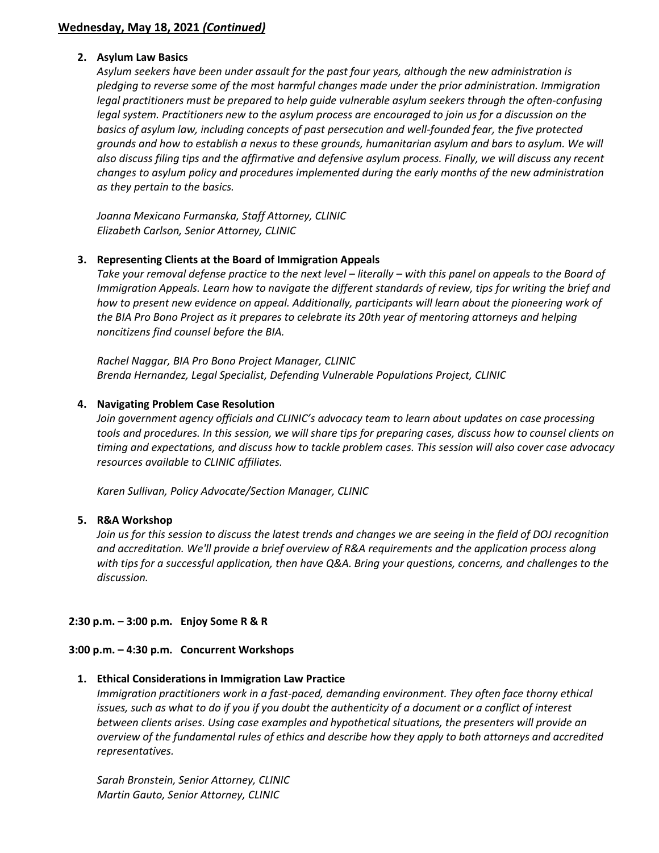## **2. Asylum Law Basics**

*Asylum seekers have been under assault for the past four years, although the new administration is pledging to reverse some of the most harmful changes made under the prior administration. Immigration legal practitioners must be prepared to help guide vulnerable asylum seekers through the often-confusing legal system. Practitioners new to the asylum process are encouraged to join us for a discussion on the basics of asylum law, including concepts of past persecution and well-founded fear, the five protected grounds and how to establish a nexus to these grounds, humanitarian asylum and bars to asylum. We will also discuss filing tips and the affirmative and defensive asylum process. Finally, we will discuss any recent changes to asylum policy and procedures implemented during the early months of the new administration as they pertain to the basics.*

*Joanna Mexicano Furmanska, Staff Attorney, CLINIC Elizabeth Carlson, Senior Attorney, CLINIC*

## **3. Representing Clients at the Board of Immigration Appeals**

Take your removal defense practice to the next level – literally – with this panel on appeals to the Board of *Immigration Appeals. Learn how to navigate the different standards of review, tips for writing the brief and how to present new evidence on appeal. Additionally, participants will learn about the pioneering work of the BIA Pro Bono Project as it prepares to celebrate its 20th year of mentoring attorneys and helping noncitizens find counsel before the BIA.*

*Rachel Naggar, BIA Pro Bono Project Manager, CLINIC Brenda Hernandez, Legal Specialist, Defending Vulnerable Populations Project, CLINIC*

## **4. Navigating Problem Case Resolution**

*Join government agency officials and CLINIC's advocacy team to learn about updates on case processing* tools and procedures. In this session, we will share tips for preparing cases, discuss how to counsel clients on *timing and expectations, and discuss how to tackle problem cases. This session will also cover case advocacy resources available to CLINIC affiliates.*

*Karen Sullivan, Policy Advocate/Section Manager, CLINIC*

## **5. R&A Workshop**

*Join us for this session to discuss the latest trends and changes we are seeing in the field of DOJ recognition and accreditation. We'll provide a brief overview of R&A requirements and the application process along with tips for a successful application, then have Q&A. Bring your questions, concerns, and challenges to the discussion.*

## **2:30 p.m. – 3:00 p.m. Enjoy Some R & R**

## **3:00 p.m. – 4:30 p.m. Concurrent Workshops**

## **1. Ethical Considerations in Immigration Law Practice**

*Immigration practitioners work in a fast-paced, demanding environment. They often face thorny ethical issues, such as what to do if you if you doubt the authenticity of a document or a conflict of interest between clients arises. Using case examples and hypothetical situations, the presenters will provide an overview of the fundamental rules of ethics and describe how they apply to both attorneys and accredited representatives.*

*Sarah Bronstein, Senior Attorney, CLINIC Martin Gauto, Senior Attorney, CLINIC*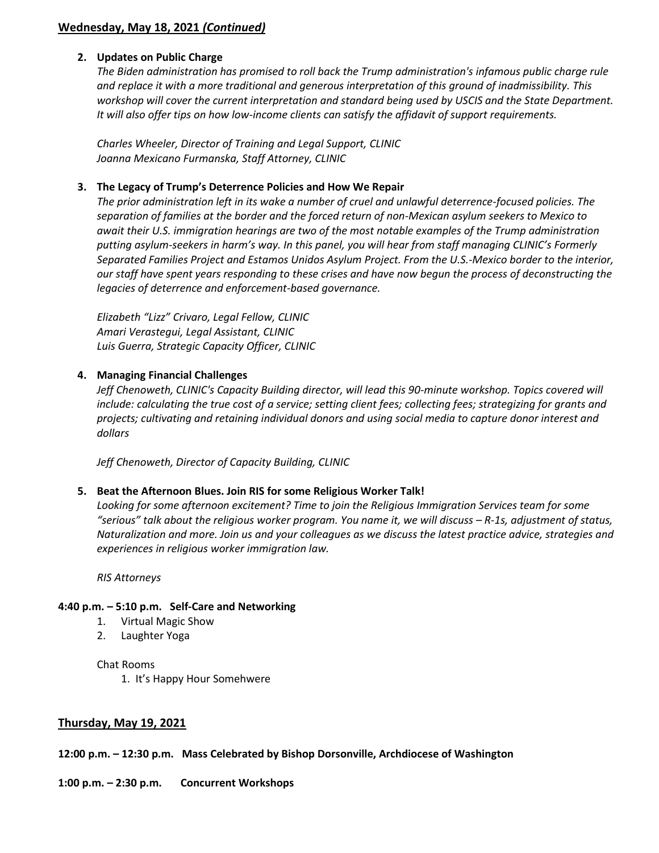## **Wednesday, May 18, 2021** *(Continued)*

## **2. Updates on Public Charge**

*The Biden administration has promised to roll back the Trump administration's infamous public charge rule and replace it with a more traditional and generous interpretation of this ground of inadmissibility. This workshop will cover the current interpretation and standard being used by USCIS and the State Department. It will also offer tips on how low-income clients can satisfy the affidavit of support requirements.*

*Charles Wheeler, Director of Training and Legal Support, CLINIC Joanna Mexicano Furmanska, Staff Attorney, CLINIC*

#### **3. The Legacy of Trump's Deterrence Policies and How We Repair**

*The prior administration left in its wake a number of cruel and unlawful deterrence-focused policies. The separation of families at the border and the forced return of non-Mexican asylum seekers to Mexico to await their U.S. immigration hearings are two of the most notable examples of the Trump administration putting asylum-seekers in harm's way. In this panel, you will hear from staff managing CLINIC's Formerly Separated Families Project and Estamos Unidos Asylum Project. From the U.S.-Mexico border to the interior, our staff have spent years responding to these crises and have now begun the process of deconstructing the legacies of deterrence and enforcement-based governance.*

*Elizabeth "Lizz" Crivaro, Legal Fellow, CLINIC Amari Verastegui, Legal Assistant, CLINIC Luis Guerra, Strategic Capacity Officer, CLINIC*

#### **4. Managing Financial Challenges**

*Jeff Chenoweth, CLINIC's Capacity Building director, will lead this 90-minute workshop. Topics covered will include: calculating the true cost of a service; setting client fees; collecting fees; strategizing for grants and projects; cultivating and retaining individual donors and using social media to capture donor interest and dollars*

*Jeff Chenoweth, Director of Capacity Building, CLINIC*

## **5. Beat the Afternoon Blues. Join RIS for some Religious Worker Talk!**

*Looking for some afternoon excitement? Time to join the Religious Immigration Services team for some*  "serious" talk about the religious worker program. You name it, we will discuss – R-1s, adjustment of status, *Naturalization and more. Join us and your colleagues as we discuss the latest practice advice, strategies and experiences in religious worker immigration law.*

*RIS Attorneys*

#### **4:40 p.m. – 5:10 p.m. Self-Care and Networking**

- 1. Virtual Magic Show
- 2. Laughter Yoga

#### Chat Rooms

1. It's Happy Hour Somehwere

## **Thursday, May 19, 2021**

**12:00 p.m. – 12:30 p.m. Mass Celebrated by Bishop Dorsonville, Archdiocese of Washington**

## **1:00 p.m. – 2:30 p.m. Concurrent Workshops**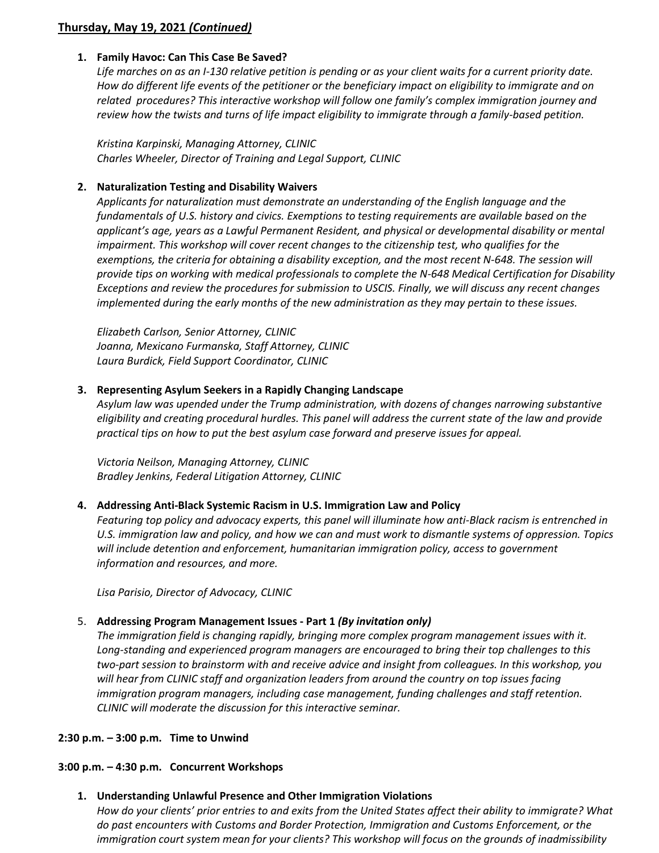## **Thursday, May 19, 2021** *(Continued)*

## **1. Family Havoc: Can This Case Be Saved?**

*Life marches on as an I-130 relative petition is pending or as your client waits for a current priority date. How do different life events of the petitioner or the beneficiary impact on eligibility to immigrate and on related procedures? This interactive workshop will follow one family's complex immigration journey and review how the twists and turns of life impact eligibility to immigrate through a family-based petition.*

*Kristina Karpinski, Managing Attorney, CLINIC Charles Wheeler, Director of Training and Legal Support, CLINIC*

## **2. Naturalization Testing and Disability Waivers**

*Applicants for naturalization must demonstrate an understanding of the English language and the fundamentals of U.S. history and civics. Exemptions to testing requirements are available based on the applicant's age, years as a Lawful Permanent Resident, and physical or developmental disability or mental impairment. This workshop will cover recent changes to the citizenship test, who qualifies for the exemptions, the criteria for obtaining a disability exception, and the most recent N-648. The session will provide tips on working with medical professionals to complete the N-648 Medical Certification for Disability Exceptions and review the procedures for submission to USCIS. Finally, we will discuss any recent changes implemented during the early months of the new administration as they may pertain to these issues.*

*Elizabeth Carlson, Senior Attorney, CLINIC Joanna, Mexicano Furmanska, Staff Attorney, CLINIC Laura Burdick, Field Support Coordinator, CLINIC*

## **3. Representing Asylum Seekers in a Rapidly Changing Landscape**

*Asylum law was upended under the Trump administration, with dozens of changes narrowing substantive eligibility and creating procedural hurdles. This panel will address the current state of the law and provide practical tips on how to put the best asylum case forward and preserve issues for appeal.*

*Victoria Neilson, Managing Attorney, CLINIC Bradley Jenkins, Federal Litigation Attorney, CLINIC*

## **4. Addressing Anti-Black Systemic Racism in U.S. Immigration Law and Policy**

*Featuring top policy and advocacy experts, this panel will illuminate how anti-Black racism is entrenched in U.S. immigration law and policy, and how we can and must work to dismantle systems of oppression. Topics will include detention and enforcement, humanitarian immigration policy, access to government information and resources, and more.*

*Lisa Parisio, Director of Advocacy, CLINIC*

## 5. **Addressing Program Management Issues - Part 1** *(By invitation only)*

*The immigration field is changing rapidly, bringing more complex program management issues with it. Long-standing and experienced program managers are encouraged to bring their top challenges to this two-part session to brainstorm with and receive advice and insight from colleagues. In this workshop, you will hear from CLINIC staff and organization leaders from around the country on top issues facing immigration program managers, including case management, funding challenges and staff retention. CLINIC will moderate the discussion for this interactive seminar.*

## **2:30 p.m. – 3:00 p.m. Time to Unwind**

## **3:00 p.m. – 4:30 p.m. Concurrent Workshops**

## **1. Understanding Unlawful Presence and Other Immigration Violations**

*How do your clients' prior entries to and exits from the United States affect their ability to immigrate? What do past encounters with Customs and Border Protection, Immigration and Customs Enforcement, or the immigration court system mean for your clients? This workshop will focus on the grounds of inadmissibility*